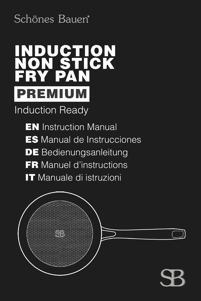## Schönes Bauen<sup>®</sup>

## INDUCTION NON STICK FRY PAN PREMIUM

## Induction Ready

**EN** Instruction Manual **ES** Manual de Instrucciones DE Bedienungsanleitung **FR** Manuel d'instructions **IT** Manuale di istruzioni

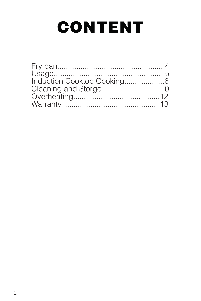# **CONTENT**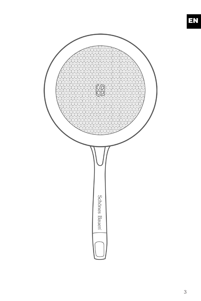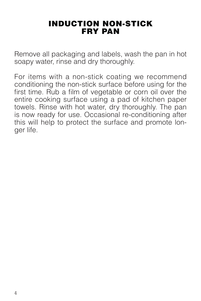## INDUCTION NON-STICK FRY PAN

Remove all packaging and labels, wash the pan in hot soapy water, rinse and dry thoroughly.

For items with a non-stick coating we recommend conditioning the non-stick surface before using for the first time. Rub a film of vegetable or corn oil over the entire cooking surface using a pad of kitchen paper towels. Rinse with hot water, dry thoroughly. The pan is now ready for use. Occasional re-conditioning after this will help to protect the surface and promote longer life.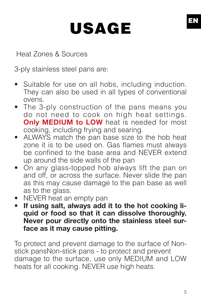# USAGE

Heat Zones & Sources

3-ply stainless steel pans are:

- Suitable for use on all hobs, including induction. They can also be used in all types of conventional ovens.
- The 3-ply construction of the pans means you do not need to cook on high heat settings. **Only MEDIUM to LOW** heat is needed for most cooking, including frying and searing.
- ALWAYS match the pan base size to the hob heat zone it is to be used on. Gas flames must always be confined to the base area and NEVER extend up around the side walls of the pan
- On any glass-topped hob always lift the pan on and off, or across the surface. Never slide the pan as this may cause damage to the pan base as well as to the glass.
- NEVER heat an empty pan
- If using salt, always add it to the hot cooking liquid or food so that it can dissolve thoroughly. Never pour directly onto the stainless steel surface as it may cause pitting.

To protect and prevent damage to the surface of Nonstick pansNon-stick pans - to protect and prevent damage to the surface, use only MEDIUM and LOW heats for all cooking. NEVER use high heats.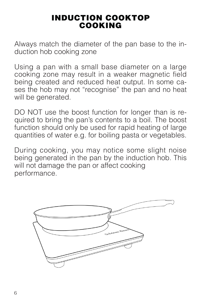## INDUCTION COOKTOP COOKING

Always match the diameter of the pan base to the induction hob cooking zone

Using a pan with a small base diameter on a large cooking zone may result in a weaker magnetic field being created and reduced heat output. In some cases the hob may not "recognise" the pan and no heat will be generated.

DO NOT use the boost function for longer than is required to bring the pan's contents to a boil. The boost function should only be used for rapid heating of large quantities of water e.g. for boiling pasta or vegetables.

During cooking, you may notice some slight noise being generated in the pan by the induction hob. This will not damage the pan or affect cooking performance.

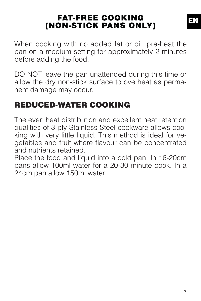## FAT-FREE COOKING (NON-STICK PANS ONLY)

When cooking with no added fat or oil, pre-heat the pan on a medium setting for approximately 2 minutes before adding the food.

DO NOT leave the pan unattended during this time or allow the dry non-stick surface to overheat as permanent damage may occur.

## REDUCED-WATER COOKING

The even heat distribution and excellent heat retention qualities of 3-ply Stainless Steel cookware allows cooking with very little liquid. This method is ideal for vegetables and fruit where flavour can be concentrated and nutrients retained.

Place the food and liquid into a cold pan. In 16-20cm pans allow 100ml water for a 20-30 minute cook. In a 24cm pan allow 150ml water.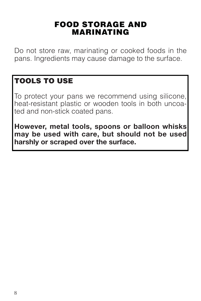## FOOD STORAGE AND MARINATING

Do not store raw, marinating or cooked foods in the pans. Ingredients may cause damage to the surface.

#### TOOLS TO USE

To protect your pans we recommend using silicone, heat-resistant plastic or wooden tools in both uncoated and non-stick coated pans.

However, metal tools, spoons or balloon whisks may be used with care, but should not be used harshly or scraped over the surface.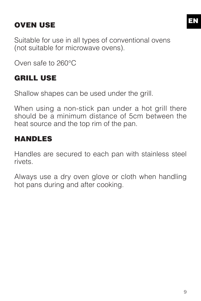## OVEN USE

Suitable for use in all types of conventional ovens Suitable for use in air types or correction.<br>(not suitable for microwave ovens).

Oven safe to 260°C

### GRILL USE

Shallow shapes can be used under the grill.

When using a non-stick pan under a hot grill there should be a minimum distance of 5cm between the heat source and the top rim of the pan.

#### **HANDLES**

Handles are secured to each pan with stainless steel rivets.

Always use a dry oven glove or cloth when handling hot pans during and after cooking.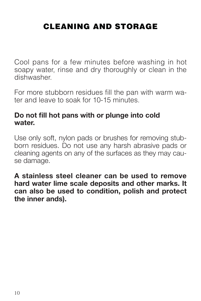## CLEANING AND STORAGE

Cool pans for a few minutes before washing in hot soapy water, rinse and dry thoroughly or clean in the dishwasher.

For more stubborn residues fill the pan with warm water and leave to soak for 10-15 minutes.

#### Do not fill hot pans with or plunge into cold **water**

Use only soft, nylon pads or brushes for removing stubborn residues. Do not use any harsh abrasive pads or cleaning agents on any of the surfaces as they may cause damage.

A stainless steel cleaner can be used to remove hard water lime scale deposits and other marks. It can also be used to condition, polish and protect the inner ands).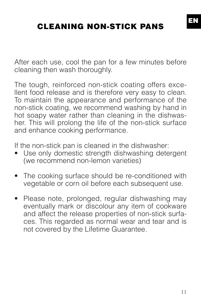## CLEANING NON-STICK PANS

After each use, cool the pan for a few minutes before cleaning then wash thoroughly.

The tough, reinforced non-stick coating offers excellent food release and is therefore very easy to clean. To maintain the appearance and performance of the non-stick coating, we recommend washing by hand in hot soapy water rather than cleaning in the dishwasher. This will prolong the life of the non-stick surface and enhance cooking performance.

If the non-stick pan is cleaned in the dishwasher:

- Use only domestic strength dishwashing detergent (we recommend non-lemon varieties)
- The cooking surface should be re-conditioned with vegetable or corn oil before each subsequent use.
- Please note, prolonged, regular dishwashing may eventually mark or discolour any item of cookware and affect the release properties of non-stick surfaces. This regarded as normal wear and tear and is not covered by the Lifetime Guarantee.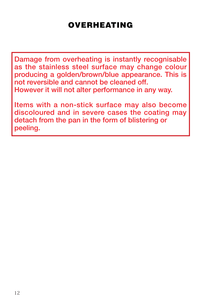## OVERHEATING

Damage from overheating is instantly recognisable as the stainless steel surface may change colour producing a golden/brown/blue appearance. This is not reversible and cannot be cleaned off. However it will not alter performance in any way.

Items with a non-stick surface may also become discoloured and in severe cases the coating may detach from the pan in the form of blistering or peeling.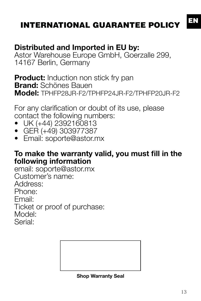## INTERNATIONAL GUARANTEE POLICY

## Distributed and Imported in EU by:

Astor Warehouse Europe GmbH, Goerzalle 299, 14167 Berlin, Germany

**Product:** Induction non stick fry pan **Brand: Schönes Bauen** Model: TPHFP28JR-F2/TPHFP24JR-F2/TPHFP20JR-F2

For any clarification or doubt of its use, please contact the following numbers:

- UK (+44) 2392160813
- GER (+49) 303977387
- Email: soporte@astor.mx

#### To make the warranty valid, you must fill in the following information

email: soporte@astor.mx Customer's name: Address: Phone: Email: Ticket or proof of purchase: Model: Serial:



Shop Warranty Seal

EN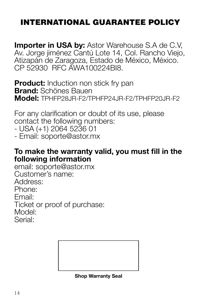## INTERNATIONAL GUARANTEE POLICY

**Importer in USA by:** Astor Warehouse S.A de C.V. Av. Jorge jiménez Cantú Lote 14, Col. Rancho Viejo, Atizapán de Zaragoza, Estado de México, México. CP 52930 RFC AWA100224BI8.

**Product:** Induction non stick fry pan Brand: Schönes Bauen Model: TPHFP28JR-F2/TPHFP24JR-F2/TPHFP20JR-F2

For any clarification or doubt of its use, please contact the following numbers:

- USA (+1) 2064 5236 01

- Email: soporte@astor.mx

#### To make the warranty valid, you must fill in the following information

email: soporte@astor.mx Customer's name: Address: Phone: Email: Ticket or proof of purchase: Model: Serial:



Shop Warranty Seal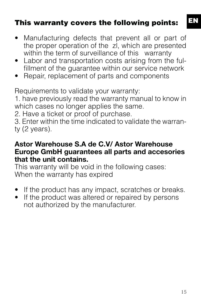## EN

## This warranty covers the following points:

- Manufacturing defects that prevent all or part of the proper operation of the zl, which are presented within the term of surveillance of this warranty
- Labor and transportation costs arising from the fulfillment of the guarantee within our service network
- Repair, replacement of parts and components

Requirements to validate your warranty:

1. have previously read the warranty manual to know in which cases no longer applies the same.

2. Have a ticket or proof of purchase.

3. Enter within the time indicated to validate the warranty (2 years).

#### Astor Warehouse S.A de C.V/ Astor Warehouse Europe GmbH guarantees all parts and accesories that the unit contains.

This warranty will be void in the following cases: When the warranty has expired

- If the product has any impact, scratches or breaks.
- If the product was altered or repaired by persons not authorized by the manufacturer.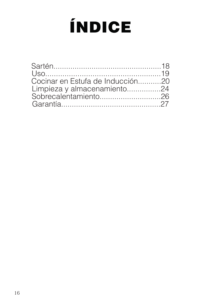# ÍNDICE

| Cocinar en Estufa de Inducción20 |  |
|----------------------------------|--|
| Limpieza y almacenamiento24      |  |
|                                  |  |
|                                  |  |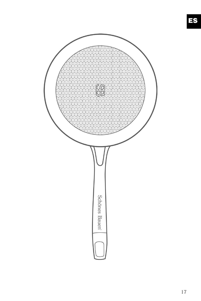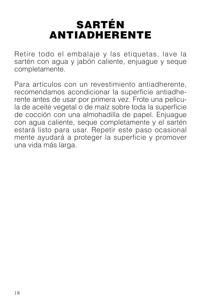## SARTÉN ANTIADHERENTE

Retire todo el embalaje y las etiquetas, lave la sartén con agua y jabón caliente, enjuague y seque completamente.

Para artículos con un revestimiento antiadherente, recomendamos acondicionar la superficie antiadherente antes de usar por primera vez. Frote una película de aceite vegetal o de maíz sobre toda la superficie de cocción con una almohadilla de papel. Enjuague con agua caliente, seque completamente y el sartén estará listo para usar. Repetir este paso ocasional mente ayudará a proteger la superficie y promover una vida más larga.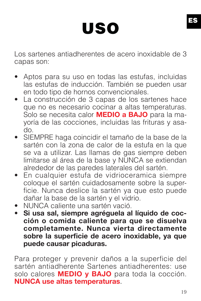# USO

Los sartenes antiadherentes de acero inoxidable de 3 capas son:

- Aptos para su uso en todas las estufas, incluidas las estufas de inducción. También se pueden usar en todo tipo de hornos convencionales.
- La construcción de 3 capas de los sartenes hace que no es necesario cocinar a altas temperaturas. Solo se necesita calor **MEDIO a BAJO** para la mayoría de las cocciones, incluidas las frituras y asado.
- SIEMPRE haga coincidir el tamaño de la base de la sartén con la zona de calor de la estufa en la que se va a utilizar. Las llamas de gas siempre deben limitarse al área de la base y NUNCA se extiendan alrededor de las paredes laterales del sartén.
- En cualquier estufa de vidrioceramica siempre coloque el sartén cuidadosamente sobre la superficie. Nunca deslice la sartén ya que esto puede dañar la base de la sartén y el vidrio.
- NUNCA caliente una sartén vació.
- Si usa sal, siempre agréguela al líquido de cocción o comida caliente para que se disuelva completamente. Nunca vierta directamente sobre la superficie de acero inoxidable, ya que puede causar picaduras.

Para proteger y prevenir daños a la superficie del sartén antiadherente Sartenes antiadherentes: use solo calores **MEDIO y BAJO** para toda la cocción. NUNCA use altas temperaturas.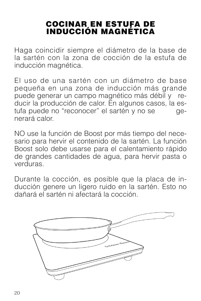## COCINAR EN ESTUFA DE INDUCCIÓN MAGNÉTICA

Haga coincidir siempre el diámetro de la base de la sartén con la zona de cocción de la estufa de inducción magnética.

El uso de una sartén con un diámetro de base pequeña en una zona de inducción más grande puede generar un campo magnético más débil y reducir la producción de calor. En algunos casos, la estufa puede no "reconocer" el sartén y no se qenerará calor.

NO use la función de Boost por más tiempo del necesario para hervir el contenido de la sartén. La función Boost solo debe usarse para el calentamiento rápido de grandes cantidades de agua, para hervir pasta o verduras.

Durante la cocción, es posible que la placa de inducción genere un ligero ruido en la sartén. Esto no dañará el sartén ni afectará la cocción.

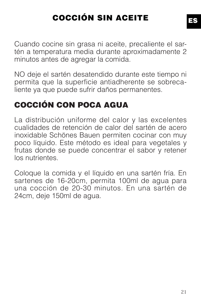## COCCIÓN SIN ACEITE

Cuando cocine sin grasa ni aceite, precaliente el sartén a temperatura media durante aproximadamente 2 minutos antes de agregar la comida.

NO deje el sartén desatendido durante este tiempo ni permita que la superficie antiadherente se sobrecaliente ya que puede sufrir daños permanentes.

## COCCIÓN CON POCA AGUA

La distribución uniforme del calor y las excelentes cualidades de retención de calor del sartén de acero inoxidable Schönes Bauen permiten cocinar con muy poco líquido. Este método es ideal para vegetales y frutas donde se puede concentrar el sabor y retener los nutrientes.

Coloque la comida y el líquido en una sartén fría. En sartenes de 16-20cm, permita 100ml de agua para una cocción de 20-30 minutos. En una sartén de 24cm, deje 150ml de agua.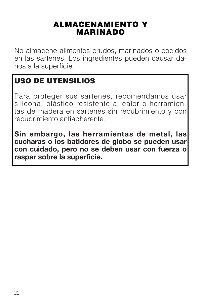## ALMACENAMIENTO Y MARINADO

No almacene alimentos crudos, marinados o cocidos en las sartenes. Los ingredientes pueden causar daños a la superficie.

#### ÷ USO DE UTENSILIOS

Para proteger sus sartenes, recomendamos usar silicona, plástico resistente al calor o herramientas de madera en sartenes sin recubrimiento y con recubrimiento antiadherente.

Sin embargo, las herramientas de metal, las cucharas o los batidores de globo se pueden usar con cuidado, pero no se deben usar con fuerza o raspar sobre la superficie.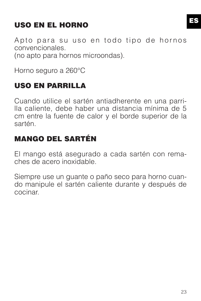## USO EN EL HORNO

Apto para su uso en todo tipo de hornos Apto para st<br>convencionales. (no apto para hornos microondas).

Horno seguro a 260°C

## USO EN PARRILLA

Cuando utilice el sartén antiadherente en una parrilla caliente, debe haber una distancia mínima de 5 cm entre la fuente de calor y el borde superior de la sartén.

### MANGO DEL SARTÉN

El mango está asegurado a cada sartén con remaches de acero inoxidable.

Siempre use un guante o paño seco para horno cuando manipule el sartén caliente durante y después de cocinar.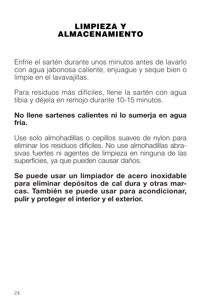## LIMPIEZA Y ALMACENAMIENTO

Enfríe el sartén durante unos minutos antes de lavarlo con agua jabonosa caliente, enjuague y seque bien o limpie en el lavavajillas.

Para residuos más difíciles, llene la sartén con agua tibia y déjela en remojo durante 10-15 minutos.

#### No llene sartenes calientes ni lo sumerja en agua fría.

Use solo almohadillas o cepillos suaves de nylon para eliminar los residuos difíciles. No use almohadillas abrasivas fuertes ni agentes de limpieza en ninguna de las superficies, ya que pueden causar daños.

Se puede usar un limpiador de acero inoxidable para eliminar depósitos de cal dura y otras marcas. También se puede usar para acondicionar, pulir y proteger el interior y el exterior.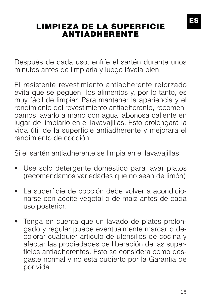## LIMPIEZA DE LA SUPERFICIE ANTIADHERENTE

Después de cada uso, enfríe el sartén durante unos minutos antes de limpiarla y luego lávela bien.

El resistente revestimiento antiadherente reforzado evita que se peguen los alimentos y, por lo tanto, es muy fácil de limpiar. Para mantener la apariencia y el rendimiento del revestimiento antiadherente, recomendamos lavarlo a mano con agua jabonosa caliente en lugar de limpiarlo en el lavavajillas. Esto prolongará la vida útil de la superficie antiadherente y mejorará el rendimiento de cocción.

Si el sartén antiadherente se limpia en el lavavajillas:

- Use solo detergente doméstico para lavar platos (recomendamos variedades que no sean de limón)
- La superficie de cocción debe volver a acondicionarse con aceite vegetal o de maíz antes de cada uso posterior.
- Tenga en cuenta que un lavado de platos prolongado y regular puede eventualmente marcar o decolorar cualquier artículo de utensilios de cocina y afectar las propiedades de liberación de las superficies antiadherentes. Esto se considera como desgaste normal y no está cubierto por la Garantía de por vida.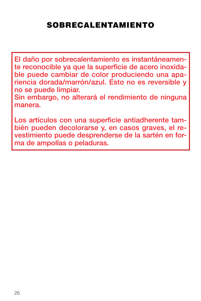## SOBRECALENTAMIENTO

El daño por sobrecalentamiento es instantáneamente reconocible ya que la superficie de acero inoxidable puede cambiar de color produciendo una apariencia dorada/marrón/azul. Esto no es reversible y no se puede limpiar.

Sin embargo, no alterará el rendimiento de ninguna manera.

Los artículos con una superficie antiadherente también pueden decolorarse y, en casos graves, el revestimiento puede desprenderse de la sartén en forma de ampollas o peladuras.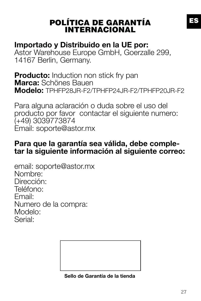## POLÍTICA DE GARANTÍA INTERNACIONAL

#### Importado y Distribuido en la UE por:

Astor Warehouse Europe GmbH, Goerzalle 299, 14167 Berlin, Germany.

**Producto:** Induction non stick fry pan Marca: Schönes Bauen Modelo: TPHFP28, IR-F2/TPHFP24, IR-F2/TPHFP20, IR-F2

Para alguna aclaración o duda sobre el uso del producto por favor contactar el siguiente numero: (+49) 3039773874 Email: soporte@astor.mx

## Para que la garantía sea válida, debe comple- tar la siguiente información al siguiente correo:

email: soporte@astor.mx Nombre: Dirección: Teléfono: Email: Numero de la compra: Modelo: Serial:



Sello de Garantía de la tienda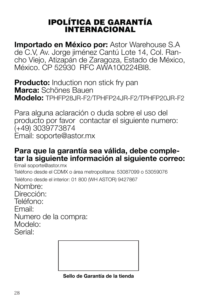## IPOLÍTICA DE GARANTÍA INTERNACIONAL

**Importado en México por:** Astor Warehouse S.A<br>de C.V. Av. Jorge jiménez Cantú Lote 14, Col. Rancho Viejo, Atizapán de Zaragoza, Estado de México, México. CP 52930 RFC AWA100224BI8.

**Producto:** Induction non stick fry pan Marca: Schönes Bauen Modelo: TPHFP28JR-F2/TPHFP24JR-F2/TPHFP20JR-F2

Para alguna aclaración o duda sobre el uso del producto por favor contactar el siguiente numero: (+49) 3039773874 Email: soporte@astor.mx

## Para que la garantía sea válida, debe comple- tar la siguiente información al siguiente correo:

Email soporte@astor.mx Teléfono desde el CDMX o área metropolitana: 53087099 o 53059076 Teléfono desde el interior: 01 800 (WH ASTOR) 9427867 Nombre: Dirección: Teléfono: Email: Numero de la compra: Modelo:

Serial:



Sello de Garantía de la tienda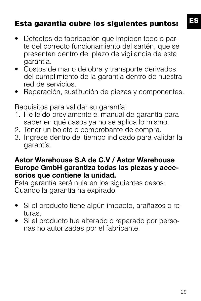## Esta garantía cubre los siguientes puntos:

- Defectos de fabricación que impiden todo o parte del correcto funcionamiento del sartén, que se presentan dentro del plazo de vigilancia de esta garantía.
- Costos de mano de obra y transporte derivados del cumplimiento de la garantía dentro de nuestra red de servicios.
- Reparación, sustitución de piezas y componentes.

Requisitos para validar su garantía:

- 1. He leído previamente el manual de garantía para saber en qué casos ya no se aplica lo mismo.
- 2. Tener un boleto o comprobante de compra.
- 3. Ingrese dentro del tiempo indicado para validar la garantía.

#### Astor Warehouse S.A de C.V / Astor Warehouse Europe GmbH garantiza todas las piezas y accesorios que contiene la unidad.

Esta garantía será nula en los siguientes casos: Cuando la garantía ha expirado

- Si el producto tiene algún impacto, arañazos o roturas.
- Si el producto fue alterado o reparado por personas no autorizadas por el fabricante.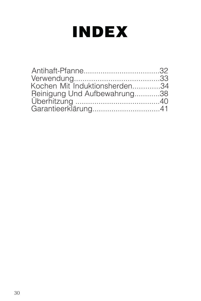## INDEX

| Kochen Mit Induktionsherden34 |  |
|-------------------------------|--|
| Reinigung Und Aufbewahrung38  |  |
|                               |  |
| Garantieerklärung41           |  |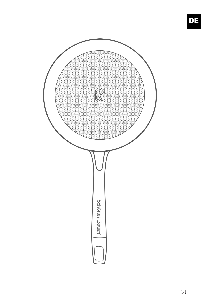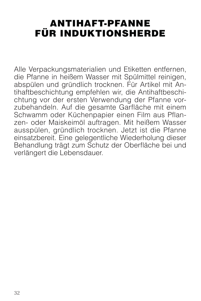## ANTIHAFT-PFANNE FÜR INDUKTIONSHERDE

Alle Verpackungsmaterialien und Etiketten entfernen, die Pfanne in heißem Wasser mit Spülmittel reinigen, abspülen und gründlich trocknen. Für Artikel mit Antihaftbeschichtung empfehlen wir, die Antihaftbeschichtung vor der ersten Verwendung der Pfanne vorzubehandeln. Auf die gesamte Garfläche mit einem Schwamm oder Küchenpapier einen Film aus Pflanzen- oder Maiskeimöl auftragen. Mit heißem Wasser ausspülen, gründlich trocknen. Jetzt ist die Pfanne einsatzbereit. Eine gelegentliche Wiederholung dieser Behandlung trägt zum Schutz der Oberfläche bei und verlängert die Lebensdauer.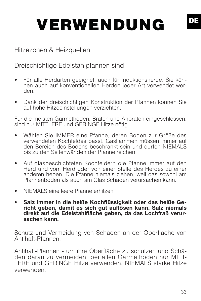# VERWENDUNG **DE**

Hitzezonen & Heizquellen

Dreischichtige Edelstahlpfannen sind:

- Für alle Herdarten geeignet, auch für Induktionsherde. Sie können auch auf konventionellen Herden jeder Art verwendet werden.
- Dank der dreischichtigen Konstruktion der Pfannen können Sie auf hohe Hitzeeinstellungen verzichten.

Für die meisten Garmethoden, Braten und Anbraten eingeschlossen, sind nur MITTLERE und GERINGE Hitze nötig.

- Wählen Sie IMMER eine Pfanne, deren Boden zur Größe des verwendeten Kochfeldes passt. Gasflammen müssen immer auf den Bereich des Bodens beschränkt sein und dürfen NIEMALS bis zu den Seitenwänden der Pfanne reichen
- Auf glasbeschichteten Kochfeldern die Pfanne immer auf den Herd und vom Herd oder von einer Stelle des Herdes zu einer anderen heben. Die Pfanne niemals ziehen, weil das sowohl am Pfannenboden als auch am Glas Schäden verursachen kann.
- NIEMALS eine leere Pfanne erhitzen
- Salz immer in die heiße Kochflüssigkeit oder das heiße Ge- richt geben, damit es sich gut auflösen kann. Salz niemals direkt auf die Edelstahlfläche geben, da das Lochfraß verursachen kann.

Schutz und Vermeidung von Schäden an der Oberfläche von Antihaft-Pfannen.

Antihaft-Pfannen - um ihre Oberfläche zu schützen und Schäden daran zu vermeiden, bei allen Garmethoden nur MITT-LERE und GERINGE Hitze verwenden. NIEMALS starke Hitze verwenden.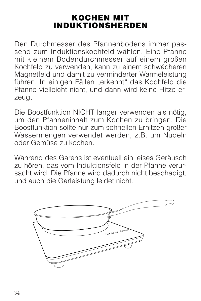## KOCHEN MIT INDUKTIONSHERDEN

Den Durchmesser des Pfannenbodens immer passend zum Induktionskochfeld wählen. Eine Pfanne mit kleinem Bodendurchmesser auf einem großen Kochfeld zu verwenden, kann zu einem schwächeren Magnetfeld und damit zu verminderter Wärmeleistung führen. In einigen Fällen "erkennt" das Kochfeld die Pfanne vielleicht nicht, und dann wird keine Hitze erzeugt.

Die Boostfunktion NICHT länger verwenden als nötig, um den Pfanneninhalt zum Kochen zu bringen. Die Boostfunktion sollte nur zum schnellen Erhitzen großer Wassermengen verwendet werden, z.B. um Nudeln oder Gemüse zu kochen.

Während des Garens ist eventuell ein leises Geräusch zu hören, das vom Induktionsfeld in der Pfanne verursacht wird. Die Pfanne wird dadurch nicht beschädigt, und auch die Garleistung leidet nicht.

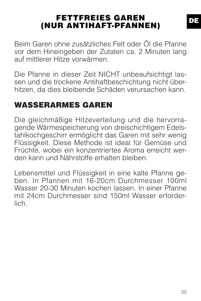## FETTFREIES GAREN (NUR ANTIHAFT-PFANNEN)

Beim Garen ohne zusätzliches Fett oder Öl die Pfanne vor dem Hineingeben der Zutaten ca. 2 Minuten lang auf mittlerer Hitze vorwärmen.

Die Pfanne in dieser Zeit NICHT unbeaufsichtigt lassen und die trockene Antihaftbeschichtung nicht überhitzen, da dies bleibende Schäden verursachen kann.

## WASSERARMES GAREN

Die gleichmäßige Hitzeverteilung und die hervorragende Wärmespeicherung von dreischichtigem Edelstahlkochgeschirr ermöglicht das Garen mit sehr wenig Flüssigkeit. Diese Methode ist ideal für Gemüse und Früchte, wobei ein konzentriertes Aroma erreicht werden kann und Nährstoffe erhalten bleiben.

Lebensmittel und Flüssigkeit in eine kalte Pfanne geben. In Pfannen mit 16-20cm Durchmesser 100ml Wasser 20-30 Minuten kochen lassen. In einer Pfanne mit 24cm Durchmesser sind 150ml Wasser erforderlich.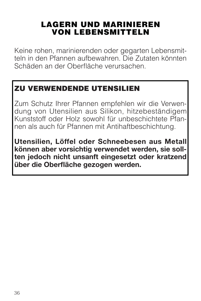## LAGERN UND MARINIEREN VON LEBENSMITTELN

Keine rohen, marinierenden oder gegarten Lebensmitteln in den Pfannen aufbewahren. Die Zutaten könnten Schäden an der Oberfläche verursachen.

#### -ZU VERWENDENDE UTENSILIEN

Zum Schutz Ihrer Pfannen empfehlen wir die Verwendung von Utensilien aus Silikon, hitzebeständigem Kunststoff oder Holz sowohl für unbeschichtete Pfannen als auch für Pfannen mit Antihaftbeschichtung.

Utensilien, Löffel oder Schneebesen aus Metall können aber vorsichtig verwendet werden, sie sollten jedoch nicht unsanft eingesetzt oder kratzend über die Oberfläche gezogen werden.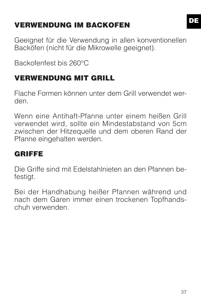## VERWENDUNG IM BACKOFEN

Geeignet für die Verwendung in allen konventionellen Backöfen (nicht für die Mikrowelle geeignet).

Backofenfest bis 260°C

## VERWENDUNG MIT GRILL

Flache Formen können unter dem Grill verwendet werden.

Wenn eine Antihaft-Pfanne unter einem heißen Grill verwendet wird, sollte ein Mindestabstand von 5cm zwischen der Hitzequelle und dem oberen Rand der Pfanne eingehalten werden.

## GRIFFE

Die Griffe sind mit Edelstahlnieten an den Pfannen befestigt.

Bei der Handhabung heißer Pfannen während und nach dem Garen immer einen trockenen Topfhandschuh verwenden.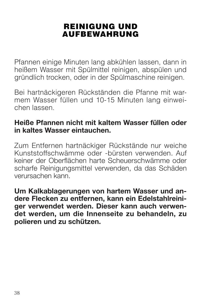### REINIGUNG UND AUFBEWAHRUNG

Pfannen einige Minuten lang abkühlen lassen, dann in heißem Wasser mit Spülmittel reinigen, abspülen und gründlich trocken, oder in der Spülmaschine reinigen.

Bei hartnäckigeren Rückständen die Pfanne mit warmem Wasser füllen und 10-15 Minuten lang einweichen lassen.

#### Heiße Pfannen nicht mit kaltem Wasser füllen oder in kaltes Wasser eintauchen.

Zum Entfernen hartnäckiger Rückstände nur weiche Kunststoffschwämme oder -bürsten verwenden. Auf keiner der Oberflächen harte Scheuerschwämme oder scharfe Reinigungsmittel verwenden, da das Schäden verursachen kann.

Um Kalkablagerungen von hartem Wasser und andere Flecken zu entfernen, kann ein Edelstahlreiniger verwendet werden. Dieser kann auch verwendet werden, um die Innenseite zu behandeln, zu polieren und zu schützen.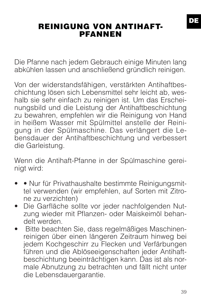## REINIGUNG VON ANTIHAFT-PFANNEN

Die Pfanne nach jedem Gebrauch einige Minuten lang abkühlen lassen und anschließend gründlich reinigen.

Von der widerstandsfähigen, verstärkten Antihaftbeschichtung lösen sich Lebensmittel sehr leicht ab, weshalb sie sehr einfach zu reinigen ist. Um das Erscheinungsbild und die Leistung der Antihaftbeschichtung zu bewahren, empfehlen wir die Reinigung von Hand in heißem Wasser mit Spülmittel anstelle der Reinigung in der Spülmaschine. Das verlängert die Lebensdauer der Antihaftbeschichtung und verbessert die Garleistung.

Wenn die Antihaft-Pfanne in der Spülmaschine gereinigt wird:

- Nur für Privathaushalte bestimmte Reinigungsmittel verwenden (wir empfehlen, auf Sorten mit Zitrone zu verzichten)
- Die Garfläche sollte vor jeder nachfolgenden Nutzung wieder mit Pflanzen- oder Maiskeimöl behandelt werden.
- Bitte beachten Sie, dass regelmäßiges Maschinenreinigen über einen längeren Zeitraum hinweg bei jedem Kochgeschirr zu Flecken und Verfärbungen führen und die Ablöseeigenschaften jeder Antihaftbeschichtung beeinträchtigen kann. Das ist als normale Abnutzung zu betrachten und fällt nicht unter die Lebensdauergarantie.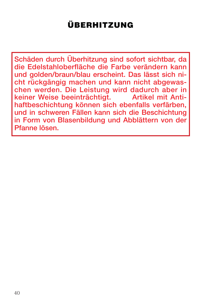## ÜBERHITZUNG

Schäden durch Überhitzung sind sofort sichtbar, da die Edelstahloberfläche die Farbe verändern kann und golden/braun/blau erscheint. Das lässt sich nicht rückgängig machen und kann nicht abgewaschen werden. Die Leistung wird dadurch aber in keiner Weise beeinträchtigt. Artikel mit Antihaftbeschichtung können sich ebenfalls verfärben, und in schweren Fällen kann sich die Beschichtung in Form von Blasenbildung und Abblättern von der Pfanne lösen.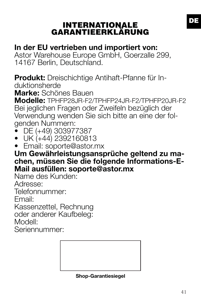## INTERNATIONALE GARANTIEERKLÄRUNG

## In der EU vertrieben und importiert von:

Astor Warehouse Europe GmbH, Goerzalle 299, 14167 Berlin, Deutschland.

**Produkt:** Dreischichtige Antihaft-Pfanne für In-<br>duktionsherde

Marke: Schönes Bauen

Modelle: TPHFP28JR-F2/TPHFP24JR-F2/TPHFP20JR-F2 Bei jeglichen Fragen oder Zweifeln bezüglich der Verwendung wenden Sie sich bitte an eine der folgenden Nummern:

- DE (+49) 303977387
- $\bullet$  UK  $(+44)$  2392160813
- Email: soporte@astor.mx

#### Um Gewährleistungsansprüche geltend zu machen, müssen Sie die folgende Informations-E-Mail ausfüllen: soporte@astor.mx

Name des Kunden:

Adresse:

Telefonnummer:

Email:

Kassenzettel, Rechnung oder anderer Kaufbeleg:

Modell:

Seriennummer:



Shop-Garantiesiegel

D) E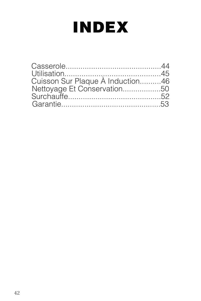## INDEX

| Cuisson Sur Plaque À Induction46 |  |
|----------------------------------|--|
| Nettovage Et Conservation50      |  |
|                                  |  |
|                                  |  |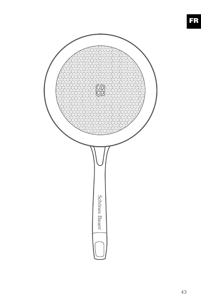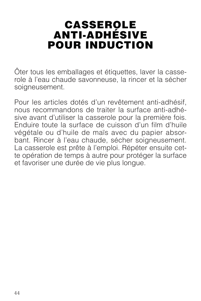## CASSEROLE ANTI-ADHÉSIVE POUR INDUCTION

Ôter tous les emballages et étiquettes, laver la casserole à l'eau chaude savonneuse, la rincer et la sécher soigneusement.

Pour les articles dotés d'un revêtement anti-adhésif, nous recommandons de traiter la surface anti-adhésive avant d'utiliser la casserole pour la première fois. Enduire toute la surface de cuisson d'un film d'huile végétale ou d'huile de maïs avec du papier absorbant. Rincer à l'eau chaude, sécher soigneusement. La casserole est prête à l'emploi. Répéter ensuite cette opération de temps à autre pour protéger la surface et favoriser une durée de vie plus longue.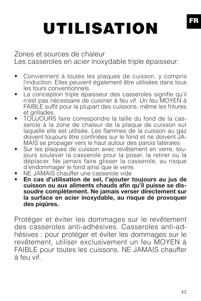# UTILISATION FR

Zones et sources de chaleur Les casseroles en acier inoxydable triple épaisseur:

- Conviennent à toutes les plaques de cuisson, y compris l'induction. Elles peuvent également être utilisées dans tous les fours conventionnels.
- La conception triple épaisseur des casseroles signifie qu'il n'est pas nécessaire de cuisiner à feu vif. Un feu MOYEN à FAIBLE suffit pour la plupart des cuissons, même les fritures et grillades.
- TOUJOURS faire correspondre la taille du fond de la casserole à la zone de chaleur de la plaque de cuisson sur laquelle elle est utilisée. Les flammes de la cuisson au gaz doivent toujours être confinées sur le fond et ne doivent JA-MAIS se propager vers le haut autour des parois latérales
- Sur les plaques de cuisson avec revêtement en verre, toujours soulever la casserole pour la poser, la retirer ou la déplacer. Ne jamais faire glisser la casserole, au risque
- NE JAMAIS chauffer une casserole vide.
- En cas d'utilisation de sel, l'ajouter toujours au jus de cuisson ou aux aliments chauds afin qu'il puisse se dissoudre complètement. Ne jamais verser directement sur la surface en acier inoxydable, au risque de provoquer des piqûres.

Protéger et éviter les dommages sur le revêtement des casseroles anti-adhésives. Casseroles anti-adhésives : pour protéger et éviter les dommages sur le revêtement, utiliser exclusivement un feu MOYEN à FAIBLE pour toutes les cuissons. NE JAMAIS chauffer à feu vif.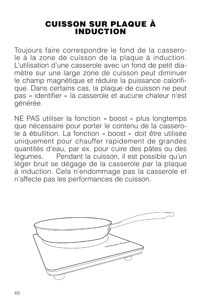## CUISSON SUR PLAQUE À INDUCTION

Toujours faire correspondre le fond de la casserole à la zone de cuisson de la plaque à induction. L'utilisation d'une casserole avec un fond de petit diamètre sur une large zone de cuisson peut diminuer le champ magnétique et réduire la puissance calorifique. Dans certains cas, la plaque de cuisson ne peut pas « identifier » la casserole et aucune chaleur n'est générée.

NE PAS utiliser la fonction « boost » plus longtemps que nécessaire pour porter le contenu de la casserole à ébullition. La fonction « boost » doit être utilisée uniquement pour chauffer rapidement de grandes quantités d'eau, par ex. pour cuire des pâtes ou des légumes. Pendant la cuisson, il est possible qu'un léger bruit se dégage de la casserole par la plaque à induction. Cela n'endommage pas la casserole et n'affecte pas les performances de cuisson.

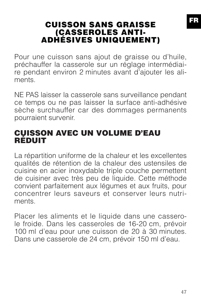#### CUISSON SANS GRAISSE (CASSEROLES ANTI-ADHÉSIVES UNIQUEMENT)

Pour une cuisson sans ajout de graisse ou d'huile, préchauffer la casserole sur un réglage intermédiaire pendant environ 2 minutes avant d'ajouter les aliments.

NE PAS laisser la casserole sans surveillance pendant ce temps ou ne pas laisser la surface anti-adhésive sèche surchauffer car des dommages permanents pourraient survenir.

## CUISSON AVEC UN VOLUME D'EAU RÉDUIT

La répartition uniforme de la chaleur et les excellentes qualités de rétention de la chaleur des ustensiles de cuisine en acier inoxydable triple couche permettent de cuisiner avec très peu de liquide. Cette méthode convient parfaitement aux légumes et aux fruits, pour concentrer leurs saveurs et conserver leurs nutriments.

Placer les aliments et le liquide dans une casserole froide. Dans les casseroles de 16-20 cm, prévoir 100 ml d'eau pour une cuisson de 20 à 30 minutes. Dans une casserole de 24 cm, prévoir 150 ml d'eau.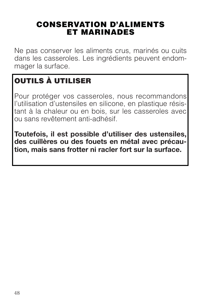## CONSERVATION D'ALIMENTS ET MARINADES

Ne pas conserver les aliments crus, marinés ou cuits dans les casseroles. Les ingrédients peuvent endommager la surface.

#### ÷ OUTILS A UTILISER

Pour protéger vos casseroles, nous recommandons l'utilisation d'ustensiles en silicone, en plastique résistant à la chaleur ou en bois, sur les casseroles avec ou sans revêtement anti-adhésif.

Toutefois, il est possible d'utiliser des ustensiles, des cuillères ou des fouets en métal avec précaution, mais sans frotter ni racler fort sur la surface.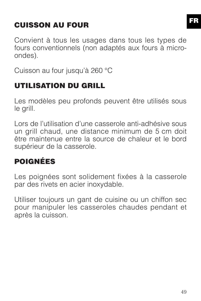## CUISSON AU FOUR

Convient à tous les usages dans tous les types de fours conventionnels (non adaptés aux fours à micro ondes).

Cuisson au four jusqu'à 260 °C

## UTILISATION DU GRILL

Les modèles peu profonds peuvent être utilisés sous le grill.

Lors de l'utilisation d'une casserole anti-adhésive sous un grill chaud, une distance minimum de 5 cm doit être maintenue entre la source de chaleur et le bord supérieur de la casserole.

## POIGNÉES

Les poignées sont solidement fixées à la casserole par des rivets en acier inoxydable.

Utiliser toujours un gant de cuisine ou un chiffon sec pour manipuler les casseroles chaudes pendant et après la cuisson.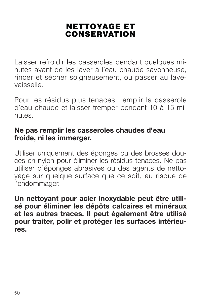## NETTOYAGE ET **CONSERVATION**

Laisser refroidir les casseroles pendant quelques minutes avant de les laver à l'eau chaude savonneuse, rincer et sécher soigneusement, ou passer au lavevaisselle.

Pour les résidus plus tenaces, remplir la casserole d'eau chaude et laisser tremper pendant 10 à 15 minutes

#### Ne pas remplir les casseroles chaudes d'eau froide, ni les immerger.

Utiliser uniquement des éponges ou des brosses douces en nylon pour éliminer les résidus tenaces. Ne pas utiliser d'éponges abrasives ou des agents de nettoyage sur quelque surface que ce soit, au risque de l'endommager.

Un nettoyant pour acier inoxydable peut être utilisé pour éliminer les dépôts calcaires et minéraux et les autres traces. Il peut également être utilisé pour traiter, polir et protéger les surfaces intérieures.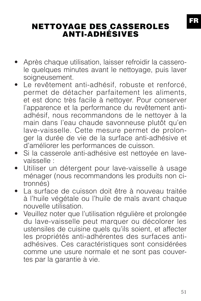#### FR

## NETTOYAGE DES CASSEROLES ANTI-ADHÉSIVES

- Après chaque utilisation, laisser refroidir la casserole quelques minutes avant le nettoyage, puis laver soigneusement.
- Le revêtement anti-adhésif, robuste et renforcé, permet de détacher parfaitement les aliments, et est donc très facile à nettoyer. Pour conserver l'apparence et la performance du revêtement antiadhésif, nous recommandons de le nettoyer à la main dans l'eau chaude savonneuse plutôt qu'en lave-vaisselle. Cette mesure permet de prolonger la durée de vie de la surface anti-adhésive et d'améliorer les performances de cuisson.
- Si la casserole anti-adhésive est nettoyée en lavevaisselle :
- Utiliser un détergent pour lave-vaisselle à usage ménager (nous recommandons les produits non citronnés)
- La surface de cuisson doit être à nouveau traitée à l'huile végétale ou l'huile de maïs avant chaque nouvelle utilisation.
- Veuillez noter que l'utilisation régulière et prolongée du lave-vaisselle peut marquer ou décolorer les ustensiles de cuisine quels qu'ils soient, et affecter les propriétés anti-adhérentes des surfaces antiadhésives. Ces caractéristiques sont considérées comme une usure normale et ne sont pas couvertes par la garantie à vie.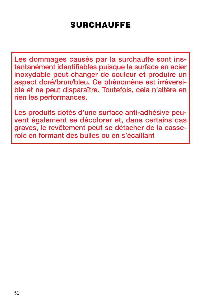## **SURCHAUFFE**

Les dommages causés par la surchauffe sont instantanément identifiables puisque la surface en acier inoxydable peut changer de couleur et produire un aspect doré/brun/bleu. Ce phénomène est irréversible et ne peut disparaître. Toutefois, cela n'altère en rien les performances.

Les produits dotés d'une surface anti-adhésive peuvent également se décolorer et, dans certains cas graves, le revêtement peut se détacher de la casserole en formant des bulles ou en s'écaillant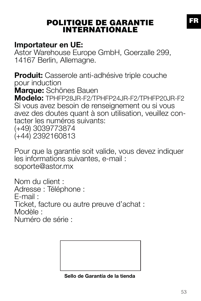#### POLITIQUE DE GARANTIE INTERNATIONALE

### Importateur en UE:

Astor Warehouse Europe GmbH, Goerzalle 299, 14167 Berlin, Allemagne.

**Produit:** Casserole anti-adhésive triple couche pour induction **Marque:** Schönes Bauen Modelo: TPHFP28JR-F2/TPHFP24JR-F2/TPHFP20JR-F2 Si vous avez besoin de renseignement ou si vous avez des doutes quant à son utilisation, veuillez con- tacter les numéros suivants: (+49) 3039773874 (+44) 2392160813

Pour que la garantie soit valide, vous devez indiquer les informations suivantes, e-mail : soporte@astor.mx

Nom du client : Adresse : Téléphone : E-mail : Ticket, facture ou autre preuve d'achat : Modèle : Numéro de série :



Sello de Garantía de la tienda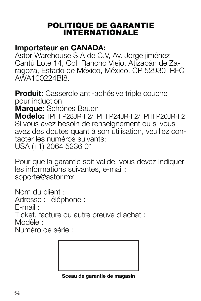### POLITIQUE DE GARANTIE **INTERNATIONALE**

## Importateur en CANADA:

Astor Warehouse S.A de C.V, Av. Jorge jiménez<br>Cantú Lote 14, Col. Rancho Viejo, Atizapán de Zaragoza, Estado de México, México. CP 52930 RFC AWA100224BI8.

**Produit:** Casserole anti-adhésive triple couche pour induction Marque: Schönes Bauen Modelo: TPHFP28JR-F2/TPHFP24JR-F2/TPHFP20JR-F2 Si vous avez besoin de renseignement ou si vous avez des doutes quant à son utilisation, veuillez con- tacter les numéros suivants: USA (+1) 2064 5236 01

Pour que la garantie soit valide, vous devez indiquer les informations suivantes, e-mail : soporte@astor.mx

Nom du client : Adresse : Téléphone : E-mail : Ticket, facture ou autre preuve d'achat : Modèle : Numéro de série :



Sceau de garantie de magasin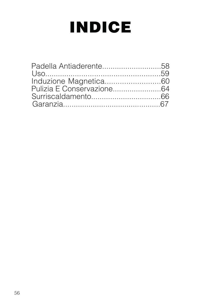# INDICE

| Induzione Magnetica60<br>Pulizia E Conservazione64 |  |
|----------------------------------------------------|--|
|                                                    |  |
|                                                    |  |
|                                                    |  |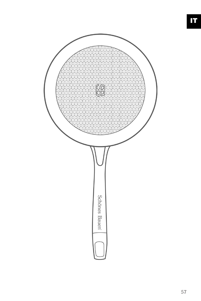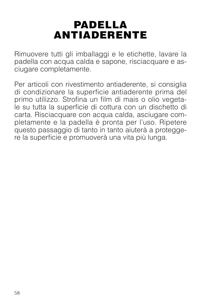## PADELLA ANTIADERENTE

Rimuovere tutti gli imballaggi e le etichette, lavare la padella con acqua calda e sapone, risciacquare e asciugare completamente.

Per articoli con rivestimento antiaderente, si consiglia di condizionare la superficie antiaderente prima del primo utilizzo. Strofina un film di mais o olio vegetale su tutta la superficie di cottura con un dischetto di carta. Risciacquare con acqua calda, asciugare completamente e la padella è pronta per l'uso. Ripetere questo passaggio di tanto in tanto aiuterà a proteggere la superficie e promuoverà una vita più lunga.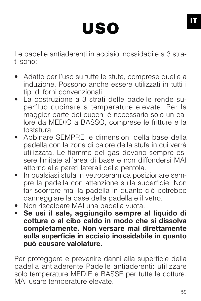# **USO**

Le padelle antiaderenti in acciaio inossidabile a 3 strati sono:

- Adatto per l'uso su tutte le stufe, comprese quelle a induzione. Possono anche essere utilizzati in tutti i tipi di forni convenzionali.
- La costruzione a 3 strati delle padelle rende superfluo cucinare a temperature elevate. Per la maggior parte dei cuochi è necessario solo un calore da MEDIO a BASSO, comprese le fritture e la tostatura.
- Abbinare SEMPRE le dimensioni della base della padella con la zona di calore della stufa in cui verrà utilizzata. Le fiamme del gas devono sempre essere limitate all'area di base e non diffondersi MAI attorno alle pareti laterali della pentola.
- In qualsiasi stufa in vetroceramica posizionare sempre la padella con attenzione sulla superficie. Non far scorrere mai la padella in quanto ciò potrebbe danneggiare la base della padella e il vetro.
- Non riscaldare MAI una padella vuota.
- Se usi il sale, aggiungilo sempre al liquido di cottura o al cibo caldo in modo che si dissolva completamente. Non versare mai direttamente sulla superficie in acciaio inossidabile in quanto può causare vaiolature.

Per proteggere e prevenire danni alla superficie della padella antiaderente Padelle antiaderenti: utilizzare solo temperature MEDIE e BASSE per tutte le cotture. MAI usare temperature elevate.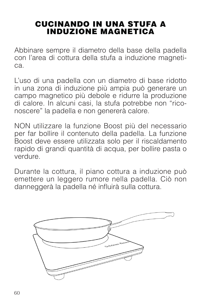## CUCINANDO IN UNA STUFA A INDUZIONE MAGNETICA

Abbinare sempre il diametro della base della padella con l'area di cottura della stufa a induzione magnetica.

L'uso di una padella con un diametro di base ridotto in una zona di induzione più ampia può generare un campo magnetico più debole e ridurre la produzione di calore. In alcuni casi, la stufa potrebbe non "riconoscere" la padella e non genererà calore.

NON utilizzare la funzione Boost più del necessario per far bollire il contenuto della padella. La funzione Boost deve essere utilizzata solo per il riscaldamento rapido di grandi quantità di acqua, per bollire pasta o verdure.

Durante la cottura, il piano cottura a induzione può emettere un leggero rumore nella padella. Ciò non danneggerà la padella né influirà sulla cottura.

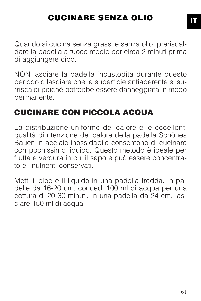Quando si cucina senza grassi e senza olio, preriscaldare la padella a fuoco medio per circa 2 minuti prima di aggiungere cibo.

NON lasciare la padella incustodita durante questo periodo o lasciare che la superficie antiaderente si surriscaldi poiché potrebbe essere danneggiata in modo permanente.

## CUCINARE CON PICCOLA ACQUA

La distribuzione uniforme del calore e le eccellenti qualità di ritenzione del calore della padella Schönes Bauen in acciaio inossidabile consentono di cucinare con pochissimo liquido. Questo metodo è ideale per frutta e verdura in cui il sapore può essere concentrato e i nutrienti conservati.

Metti il cibo e il liquido in una padella fredda. In padelle da 16-20 cm, concedi 100 ml di acqua per una cottura di 20-30 minuti. In una padella da 24 cm, lasciare 150 ml di acqua.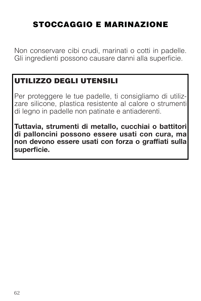## STOCCAGGIO E MARINAZIONE

Non conservare cibi crudi, marinati o cotti in padelle. Gli ingredienti possono causare danni alla superficie.

#### ÷ UTILIZZO DEGLI UTENSILI

Per proteggere le tue padelle, ti consigliamo di utilizzare silicone, plastica resistente al calore o strumenti di legno in padelle non patinate e antiaderenti.

Tuttavia, strumenti di metallo, cucchiai o battitori di palloncini possono essere usati con cura, ma non devono essere usati con forza o graffiati sulla superficie.  $\overline{\phantom{0}}$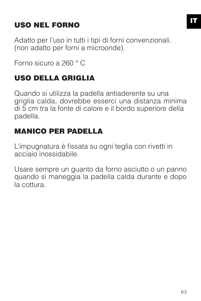## USO NEL FORNO

Adatto per l'uso in tutti i tipi di forni convenzionali. (non adatto per forni a microonde).

Forno sicuro a 260 ° C

## USO DELLA GRIGLIA

Quando si utilizza la padella antiaderente su una griglia calda, dovrebbe esserci una distanza minima di 5 cm tra la fonte di calore e il bordo superiore della padella.

### MANICO PER PADELLA

L'impugnatura è fissata su ogni teglia con rivetti in acciaio inossidabile.

Usare sempre un guanto da forno asciutto o un panno quando si maneggia la padella calda durante e dopo la cottura.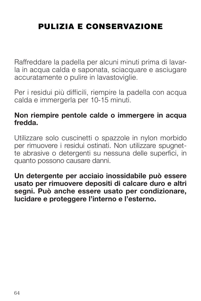## PULIZIA E CONSERVAZIONE

Raffreddare la padella per alcuni minuti prima di lavarla in acqua calda e saponata, sciacquare e asciugare accuratamente o pulire in lavastoviglie.

Per i residui più difficili, riempire la padella con acqua calda e immergerla per 10-15 minuti.

#### Non riempire pentole calde o immergere in acqua fredda.

Utilizzare solo cuscinetti o spazzole in nylon morbido per rimuovere i residui ostinati. Non utilizzare spugnette abrasive o detergenti su nessuna delle superfici, in quanto possono causare danni.

Un detergente per acciaio inossidabile può essere usato per rimuovere depositi di calcare duro e altri segni. Può anche essere usato per condizionare, lucidare e proteggere l'interno e l'esterno.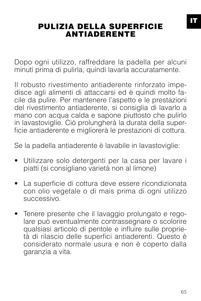## PULIZIA DELLA SUPERFICIE **ANTIADERENTE**

Dopo ogni utilizzo, raffreddare la padella per alcuni minuti prima di pulirla, quindi lavarla accuratamente.

Il robusto rivestimento antiaderente rinforzato impedisce agli alimenti di attaccarsi ed è quindi molto facile da pulire. Per mantenere l'aspetto e le prestazioni del rivestimento antiaderente, si consiglia di lavarlo a mano con acqua calda e sapone piuttosto che pulirlo in lavastoviglie. Ciò prolungherà la durata della superficie antiaderente e migliorerà le prestazioni di cottura.

Se la padella antiaderente è lavabile in lavastoviglie:

- Utilizzare solo detergenti per la casa per lavare i piatti (si consigliano varietà non al limone)
- La superficie di cottura deve essere ricondizionata con olio vegetale o di mais prima di ogni utilizzo successivo.
- Tenere presente che il lavaggio prolungato e regolare può eventualmente contrassegnare o scolorire qualsiasi articolo di pentole e influire sulle proprietà di rilascio delle superfici antiaderenti. Questo è considerato normale usura e non è coperto dalla garanzia a vita.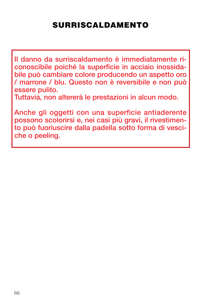## SURRISCALDAMENTO

Il danno da surriscaldamento è immediatamente riconoscibile poiché la superficie in acciaio inossidabile può cambiare colore producendo un aspetto oro / marrone / blu. Questo non è reversibile e non può essere pulito.

Tuttavia, non altererà le prestazioni in alcun modo.

Anche gli oggetti con una superficie antiaderente possono scolorirsi e, nei casi più gravi, il rivestimento può fuoriuscire dalla padella sotto forma di vesciche o peeling.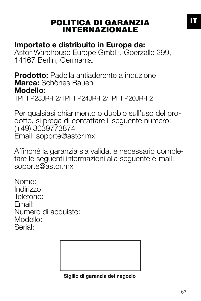#### POLITICA DI GARANZIA INTERNAZIONALE

## Importato e distribuito in Europa da:

Astor Warehouse Europe GmbH, Goerzalle 299, 14167 Berlin, Germania.

Prodotto: Padella antiaderente a induzione Marca: Schönes Bauen Modello:

TPHFP28JR-F2/TPHFP24JR-F2/TPHFP20JR-F2

Per qualsiasi chiarimento o dubbio sull'uso del pro- dotto, si prega di contattare il seguente numero: (+49) 3039773874 Email: soporte@astor.mx

Affinché la garanzia sia valida, è necessario comple- tare le seguenti informazioni alla seguente e-mail: soporte@astor.mx

Nome: Indirizzo: Telefono: Email: Numero di acquisto: Modello: Serial:



Sigillo di garanzia del negozio